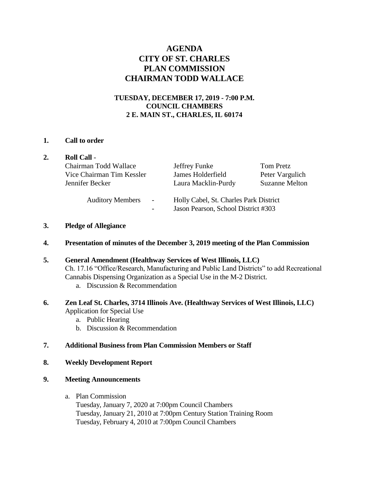# **AGENDA CITY OF ST. CHARLES PLAN COMMISSION CHAIRMAN TODD WALLACE**

## **TUESDAY, DECEMBER 17, 2019 - 7:00 P.M. COUNCIL CHAMBERS 2 E. MAIN ST., CHARLES, IL 60174**

#### **1. Call to order**

|  | <b>Roll Call -</b>                                                    |                                                                               |                                                       |
|--|-----------------------------------------------------------------------|-------------------------------------------------------------------------------|-------------------------------------------------------|
|  | Chairman Todd Wallace<br>Vice Chairman Tim Kessler<br>Jennifer Becker | Jeffrey Funke<br>James Holderfield<br>Laura Macklin-Purdy                     | Tom Pretz<br>Peter Vargulich<br><b>Suzanne Melton</b> |
|  | <b>Auditory Members</b><br>$\sim$                                     | Holly Cabel, St. Charles Park District<br>Jason Pearson, School District #303 |                                                       |

### **3. Pledge of Allegiance**

**4. Presentation of minutes of the December 3, 2019 meeting of the Plan Commission**

## **5. General Amendment (Healthway Services of West Illinois, LLC)**  Ch. 17.16 "Office/Research, Manufacturing and Public Land Districts" to add Recreational Cannabis Dispensing Organization as a Special Use in the M-2 District. a. Discussion & Recommendation

## **6. Zen Leaf St. Charles, 3714 Illinois Ave. (Healthway Services of West Illinois, LLC)** Application for Special Use

- a. Public Hearing
- b. Discussion & Recommendation

#### **7. Additional Business from Plan Commission Members or Staff**

### **8. Weekly Development Report**

### **9. Meeting Announcements**

a. Plan Commission Tuesday, January 7, 2020 at 7:00pm Council Chambers Tuesday, January 21, 2010 at 7:00pm Century Station Training Room Tuesday, February 4, 2010 at 7:00pm Council Chambers